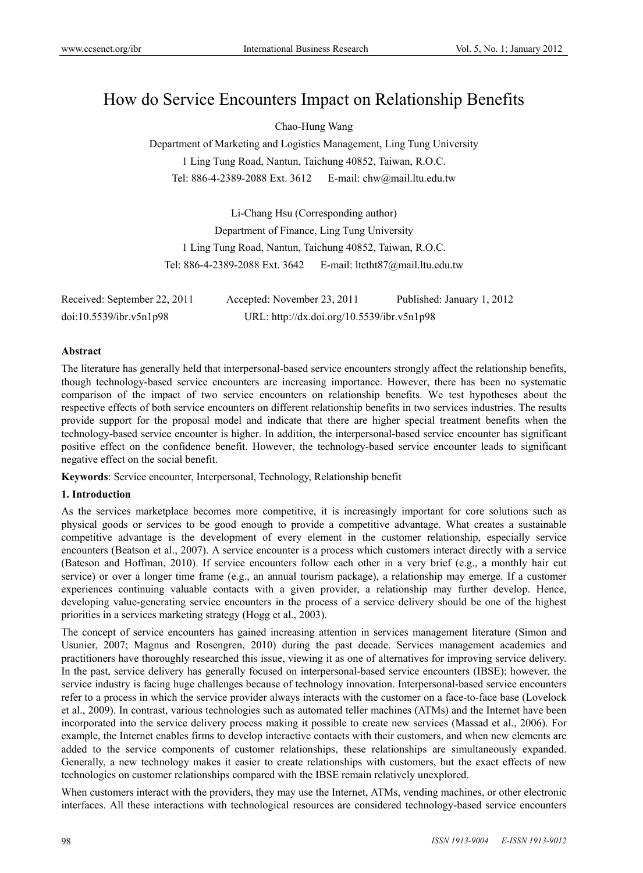# How do Service Encounters Impact on Relationship Benefits

Chao-Hung Wang

Department of Marketing and Logistics Management, Ling Tung University 1 Ling Tung Road, Nantun, Taichung 40852, Taiwan, R.O.C. Tel: 886-4-2389-2088 Ext. 3612 E-mail: chw@mail.ltu.edu.tw

Li-Chang Hsu (Corresponding author) Department of Finance, Ling Tung University 1 Ling Tung Road, Nantun, Taichung 40852, Taiwan, R.O.C. Tel: 886-4-2389-2088 Ext. 3642 E-mail: ltctht87@mail.ltu.edu.tw

| Received: September 22, 2011 | Accepted: November 23, 2011                | Published: January 1, 2012 |
|------------------------------|--------------------------------------------|----------------------------|
| doi:10.5539/ibr.v5n1p98      | URL: http://dx.doi.org/10.5539/ibr.v5n1p98 |                            |

#### **Abstract**

The literature has generally held that interpersonal-based service encounters strongly affect the relationship benefits, though technology-based service encounters are increasing importance. However, there has been no systematic comparison of the impact of two service encounters on relationship benefits. We test hypotheses about the respective effects of both service encounters on different relationship benefits in two services industries. The results provide support for the proposal model and indicate that there are higher special treatment benefits when the technology-based service encounter is higher. In addition, the interpersonal-based service encounter has significant positive effect on the confidence benefit. However, the technology-based service encounter leads to significant negative effect on the social benefit.

**Keywords**: Service encounter, Interpersonal, Technology, Relationship benefit

# **1. Introduction**

As the services marketplace becomes more competitive, it is increasingly important for core solutions such as physical goods or services to be good enough to provide a competitive advantage. What creates a sustainable competitive advantage is the development of every element in the customer relationship, especially service encounters (Beatson et al., 2007). A service encounter is a process which customers interact directly with a service (Bateson and Hoffman, 2010). If service encounters follow each other in a very brief (e.g., a monthly hair cut service) or over a longer time frame (e.g., an annual tourism package), a relationship may emerge. If a customer experiences continuing valuable contacts with a given provider, a relationship may further develop. Hence, developing value-generating service encounters in the process of a service delivery should be one of the highest priorities in a services marketing strategy (Hogg et al., 2003).

The concept of service encounters has gained increasing attention in services management literature (Simon and Usunier, 2007; Magnus and Rosengren, 2010) during the past decade. Services management academics and practitioners have thoroughly researched this issue, viewing it as one of alternatives for improving service delivery. In the past, service delivery has generally focused on interpersonal-based service encounters (IBSE); however, the service industry is facing huge challenges because of technology innovation. Interpersonal-based service encounters refer to a process in which the service provider always interacts with the customer on a face-to-face base (Lovelock et al., 2009). In contrast, various technologies such as automated teller machines (ATMs) and the Internet have been incorporated into the service delivery process making it possible to create new services (Massad et al., 2006). For example, the Internet enables firms to develop interactive contacts with their customers, and when new elements are added to the service components of customer relationships, these relationships are simultaneously expanded. Generally, a new technology makes it easier to create relationships with customers, but the exact effects of new technologies on customer relationships compared with the IBSE remain relatively unexplored.

When customers interact with the providers, they may use the Internet, ATMs, vending machines, or other electronic interfaces. All these interactions with technological resources are considered technology-based service encounters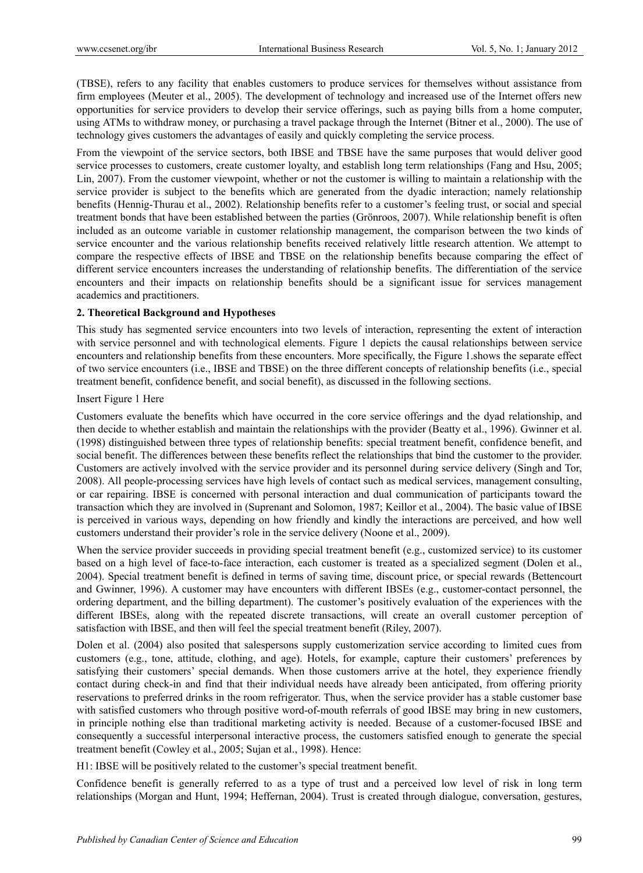(TBSE), refers to any facility that enables customers to produce services for themselves without assistance from firm employees (Meuter et al., 2005). The development of technology and increased use of the Internet offers new opportunities for service providers to develop their service offerings, such as paying bills from a home computer, using ATMs to withdraw money, or purchasing a travel package through the Internet (Bitner et al., 2000). The use of technology gives customers the advantages of easily and quickly completing the service process.

From the viewpoint of the service sectors, both IBSE and TBSE have the same purposes that would deliver good service processes to customers, create customer loyalty, and establish long term relationships (Fang and Hsu, 2005; Lin, 2007). From the customer viewpoint, whether or not the customer is willing to maintain a relationship with the service provider is subject to the benefits which are generated from the dyadic interaction; namely relationship benefits (Hennig-Thurau et al., 2002). Relationship benefits refer to a customer's feeling trust, or social and special treatment bonds that have been established between the parties (Grönroos, 2007). While relationship benefit is often included as an outcome variable in customer relationship management, the comparison between the two kinds of service encounter and the various relationship benefits received relatively little research attention. We attempt to compare the respective effects of IBSE and TBSE on the relationship benefits because comparing the effect of different service encounters increases the understanding of relationship benefits. The differentiation of the service encounters and their impacts on relationship benefits should be a significant issue for services management academics and practitioners.

## **2. Theoretical Background and Hypotheses**

This study has segmented service encounters into two levels of interaction, representing the extent of interaction with service personnel and with technological elements. Figure 1 depicts the causal relationships between service encounters and relationship benefits from these encounters. More specifically, the Figure 1.shows the separate effect of two service encounters (i.e., IBSE and TBSE) on the three different concepts of relationship benefits (i.e., special treatment benefit, confidence benefit, and social benefit), as discussed in the following sections.

#### Insert Figure 1 Here

Customers evaluate the benefits which have occurred in the core service offerings and the dyad relationship, and then decide to whether establish and maintain the relationships with the provider (Beatty et al., 1996). Gwinner et al. (1998) distinguished between three types of relationship benefits: special treatment benefit, confidence benefit, and social benefit. The differences between these benefits reflect the relationships that bind the customer to the provider. Customers are actively involved with the service provider and its personnel during service delivery (Singh and Tor, 2008). All people-processing services have high levels of contact such as medical services, management consulting, or car repairing. IBSE is concerned with personal interaction and dual communication of participants toward the transaction which they are involved in (Suprenant and Solomon, 1987; Keillor et al., 2004). The basic value of IBSE is perceived in various ways, depending on how friendly and kindly the interactions are perceived, and how well customers understand their provider's role in the service delivery (Noone et al., 2009).

When the service provider succeeds in providing special treatment benefit (e.g., customized service) to its customer based on a high level of face-to-face interaction, each customer is treated as a specialized segment (Dolen et al., 2004). Special treatment benefit is defined in terms of saving time, discount price, or special rewards (Bettencourt and Gwinner, 1996). A customer may have encounters with different IBSEs (e.g., customer-contact personnel, the ordering department, and the billing department). The customer's positively evaluation of the experiences with the different IBSEs, along with the repeated discrete transactions, will create an overall customer perception of satisfaction with IBSE, and then will feel the special treatment benefit (Riley, 2007).

Dolen et al. (2004) also posited that salespersons supply customerization service according to limited cues from customers (e.g., tone, attitude, clothing, and age). Hotels, for example, capture their customers' preferences by satisfying their customers' special demands. When those customers arrive at the hotel, they experience friendly contact during check-in and find that their individual needs have already been anticipated, from offering priority reservations to preferred drinks in the room refrigerator. Thus, when the service provider has a stable customer base with satisfied customers who through positive word-of-mouth referrals of good IBSE may bring in new customers, in principle nothing else than traditional marketing activity is needed. Because of a customer-focused IBSE and consequently a successful interpersonal interactive process, the customers satisfied enough to generate the special treatment benefit (Cowley et al., 2005; Sujan et al., 1998). Hence:

H1: IBSE will be positively related to the customer's special treatment benefit.

Confidence benefit is generally referred to as a type of trust and a perceived low level of risk in long term relationships (Morgan and Hunt, 1994; Heffernan, 2004). Trust is created through dialogue, conversation, gestures,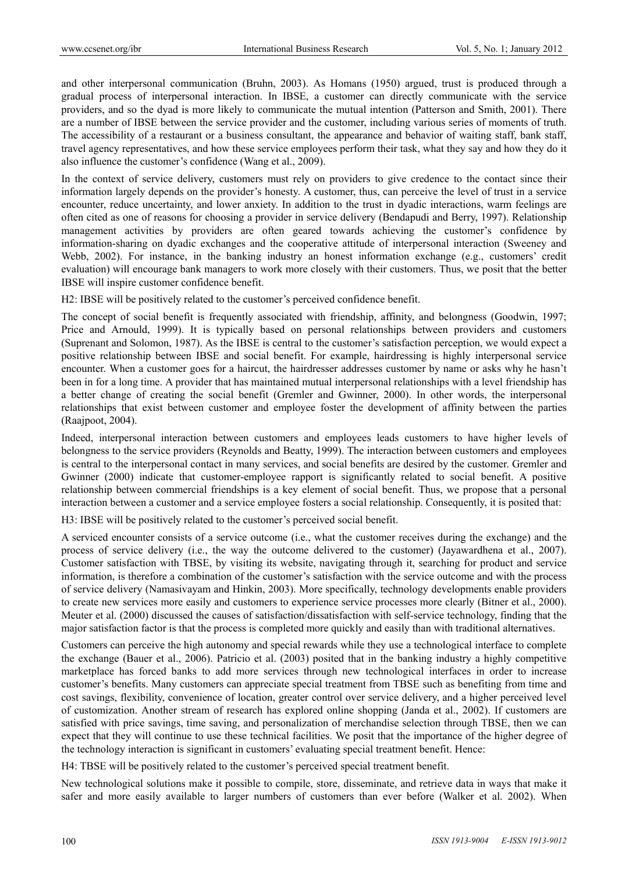and other interpersonal communication (Bruhn, 2003). As Homans (1950) argued, trust is produced through a gradual process of interpersonal interaction. In IBSE, a customer can directly communicate with the service providers, and so the dyad is more likely to communicate the mutual intention (Patterson and Smith, 2001). There are a number of IBSE between the service provider and the customer, including various series of moments of truth. The accessibility of a restaurant or a business consultant, the appearance and behavior of waiting staff, bank staff, travel agency representatives, and how these service employees perform their task, what they say and how they do it also influence the customer's confidence (Wang et al., 2009).

In the context of service delivery, customers must rely on providers to give credence to the contact since their information largely depends on the provider's honesty. A customer, thus, can perceive the level of trust in a service encounter, reduce uncertainty, and lower anxiety. In addition to the trust in dyadic interactions, warm feelings are often cited as one of reasons for choosing a provider in service delivery (Bendapudi and Berry, 1997). Relationship management activities by providers are often geared towards achieving the customer's confidence by information-sharing on dyadic exchanges and the cooperative attitude of interpersonal interaction (Sweeney and Webb, 2002). For instance, in the banking industry an honest information exchange (e.g., customers' credit evaluation) will encourage bank managers to work more closely with their customers. Thus, we posit that the better IBSE will inspire customer confidence benefit.

H2: IBSE will be positively related to the customer's perceived confidence benefit.

The concept of social benefit is frequently associated with friendship, affinity, and belongness (Goodwin, 1997; Price and Arnould, 1999). It is typically based on personal relationships between providers and customers (Suprenant and Solomon, 1987). As the IBSE is central to the customer's satisfaction perception, we would expect a positive relationship between IBSE and social benefit. For example, hairdressing is highly interpersonal service encounter. When a customer goes for a haircut, the hairdresser addresses customer by name or asks why he hasn't been in for a long time. A provider that has maintained mutual interpersonal relationships with a level friendship has a better change of creating the social benefit (Gremler and Gwinner, 2000). In other words, the interpersonal relationships that exist between customer and employee foster the development of affinity between the parties (Raajpoot, 2004).

Indeed, interpersonal interaction between customers and employees leads customers to have higher levels of belongness to the service providers (Reynolds and Beatty, 1999). The interaction between customers and employees is central to the interpersonal contact in many services, and social benefits are desired by the customer. Gremler and Gwinner (2000) indicate that customer-employee rapport is significantly related to social benefit. A positive relationship between commercial friendships is a key element of social benefit. Thus, we propose that a personal interaction between a customer and a service employee fosters a social relationship. Consequently, it is posited that:

H3: IBSE will be positively related to the customer's perceived social benefit.

A serviced encounter consists of a service outcome (i.e., what the customer receives during the exchange) and the process of service delivery (i.e., the way the outcome delivered to the customer) (Jayawardhena et al., 2007). Customer satisfaction with TBSE, by visiting its website, navigating through it, searching for product and service information, is therefore a combination of the customer's satisfaction with the service outcome and with the process of service delivery (Namasivayam and Hinkin, 2003). More specifically, technology developments enable providers to create new services more easily and customers to experience service processes more clearly (Bitner et al., 2000). Meuter et al. (2000) discussed the causes of satisfaction/dissatisfaction with self-service technology, finding that the major satisfaction factor is that the process is completed more quickly and easily than with traditional alternatives.

Customers can perceive the high autonomy and special rewards while they use a technological interface to complete the exchange (Bauer et al., 2006). Patricio et al. (2003) posited that in the banking industry a highly competitive marketplace has forced banks to add more services through new technological interfaces in order to increase customer's benefits. Many customers can appreciate special treatment from TBSE such as benefiting from time and cost savings, flexibility, convenience of location, greater control over service delivery, and a higher perceived level of customization. Another stream of research has explored online shopping (Janda et al., 2002). If customers are satisfied with price savings, time saving, and personalization of merchandise selection through TBSE, then we can expect that they will continue to use these technical facilities. We posit that the importance of the higher degree of the technology interaction is significant in customers' evaluating special treatment benefit. Hence:

H4: TBSE will be positively related to the customer's perceived special treatment benefit.

New technological solutions make it possible to compile, store, disseminate, and retrieve data in ways that make it safer and more easily available to larger numbers of customers than ever before (Walker et al. 2002). When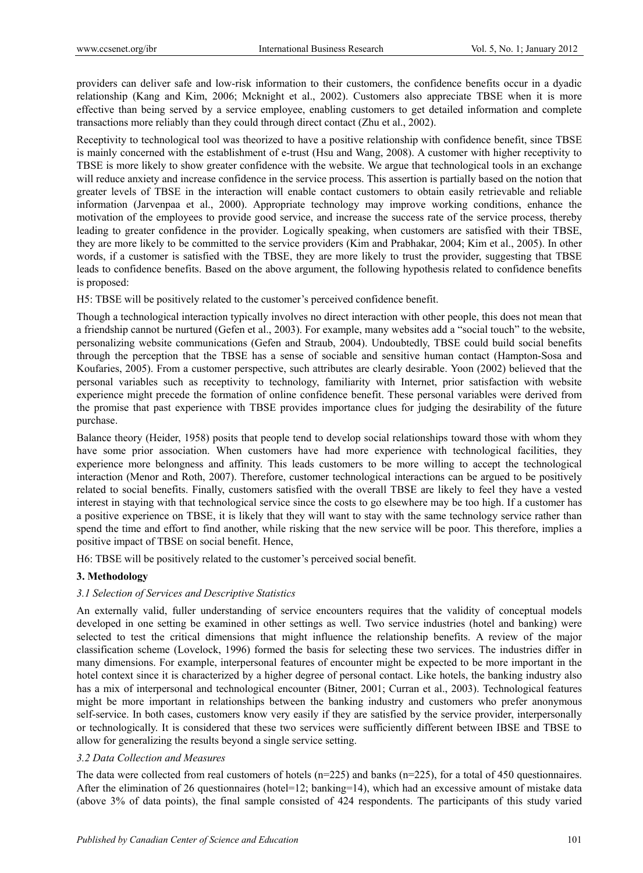providers can deliver safe and low-risk information to their customers, the confidence benefits occur in a dyadic relationship (Kang and Kim, 2006; Mcknight et al., 2002). Customers also appreciate TBSE when it is more effective than being served by a service employee, enabling customers to get detailed information and complete transactions more reliably than they could through direct contact (Zhu et al., 2002).

Receptivity to technological tool was theorized to have a positive relationship with confidence benefit, since TBSE is mainly concerned with the establishment of e-trust (Hsu and Wang, 2008). A customer with higher receptivity to TBSE is more likely to show greater confidence with the website. We argue that technological tools in an exchange will reduce anxiety and increase confidence in the service process. This assertion is partially based on the notion that greater levels of TBSE in the interaction will enable contact customers to obtain easily retrievable and reliable information (Jarvenpaa et al., 2000). Appropriate technology may improve working conditions, enhance the motivation of the employees to provide good service, and increase the success rate of the service process, thereby leading to greater confidence in the provider. Logically speaking, when customers are satisfied with their TBSE, they are more likely to be committed to the service providers (Kim and Prabhakar, 2004; Kim et al., 2005). In other words, if a customer is satisfied with the TBSE, they are more likely to trust the provider, suggesting that TBSE leads to confidence benefits. Based on the above argument, the following hypothesis related to confidence benefits is proposed:

H5: TBSE will be positively related to the customer's perceived confidence benefit.

Though a technological interaction typically involves no direct interaction with other people, this does not mean that a friendship cannot be nurtured (Gefen et al., 2003). For example, many websites add a "social touch" to the website, personalizing website communications (Gefen and Straub, 2004). Undoubtedly, TBSE could build social benefits through the perception that the TBSE has a sense of sociable and sensitive human contact (Hampton-Sosa and Koufaries, 2005). From a customer perspective, such attributes are clearly desirable. Yoon (2002) believed that the personal variables such as receptivity to technology, familiarity with Internet, prior satisfaction with website experience might precede the formation of online confidence benefit. These personal variables were derived from the promise that past experience with TBSE provides importance clues for judging the desirability of the future purchase.

Balance theory (Heider, 1958) posits that people tend to develop social relationships toward those with whom they have some prior association. When customers have had more experience with technological facilities, they experience more belongness and affinity. This leads customers to be more willing to accept the technological interaction (Menor and Roth, 2007). Therefore, customer technological interactions can be argued to be positively related to social benefits. Finally, customers satisfied with the overall TBSE are likely to feel they have a vested interest in staying with that technological service since the costs to go elsewhere may be too high. If a customer has a positive experience on TBSE, it is likely that they will want to stay with the same technology service rather than spend the time and effort to find another, while risking that the new service will be poor. This therefore, implies a positive impact of TBSE on social benefit. Hence,

H6: TBSE will be positively related to the customer's perceived social benefit.

#### **3. Methodology**

#### *3.1 Selection of Services and Descriptive Statistics*

An externally valid, fuller understanding of service encounters requires that the validity of conceptual models developed in one setting be examined in other settings as well. Two service industries (hotel and banking) were selected to test the critical dimensions that might influence the relationship benefits. A review of the major classification scheme (Lovelock, 1996) formed the basis for selecting these two services. The industries differ in many dimensions. For example, interpersonal features of encounter might be expected to be more important in the hotel context since it is characterized by a higher degree of personal contact. Like hotels, the banking industry also has a mix of interpersonal and technological encounter (Bitner, 2001; Curran et al., 2003). Technological features might be more important in relationships between the banking industry and customers who prefer anonymous self-service. In both cases, customers know very easily if they are satisfied by the service provider, interpersonally or technologically. It is considered that these two services were sufficiently different between IBSE and TBSE to allow for generalizing the results beyond a single service setting.

#### *3.2 Data Collection and Measures*

The data were collected from real customers of hotels ( $n=225$ ) and banks ( $n=225$ ), for a total of 450 questionnaires. After the elimination of 26 questionnaires (hotel=12; banking=14), which had an excessive amount of mistake data (above 3% of data points), the final sample consisted of 424 respondents. The participants of this study varied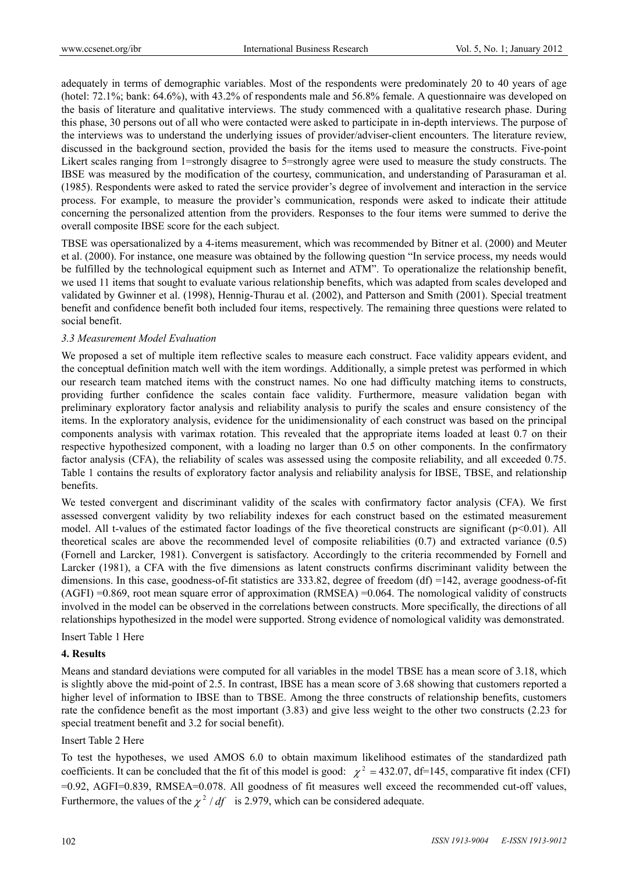adequately in terms of demographic variables. Most of the respondents were predominately 20 to 40 years of age (hotel: 72.1%; bank: 64.6%), with 43.2% of respondents male and 56.8% female. A questionnaire was developed on the basis of literature and qualitative interviews. The study commenced with a qualitative research phase. During this phase, 30 persons out of all who were contacted were asked to participate in in-depth interviews. The purpose of the interviews was to understand the underlying issues of provider/adviser-client encounters. The literature review, discussed in the background section, provided the basis for the items used to measure the constructs. Five-point Likert scales ranging from 1=strongly disagree to 5=strongly agree were used to measure the study constructs. The IBSE was measured by the modification of the courtesy, communication, and understanding of Parasuraman et al. (1985). Respondents were asked to rated the service provider's degree of involvement and interaction in the service process. For example, to measure the provider's communication, responds were asked to indicate their attitude concerning the personalized attention from the providers. Responses to the four items were summed to derive the overall composite IBSE score for the each subject.

TBSE was opersationalized by a 4-items measurement, which was recommended by Bitner et al. (2000) and Meuter et al. (2000). For instance, one measure was obtained by the following question "In service process, my needs would be fulfilled by the technological equipment such as Internet and ATM". To operationalize the relationship benefit, we used 11 items that sought to evaluate various relationship benefits, which was adapted from scales developed and validated by Gwinner et al. (1998), Hennig-Thurau et al. (2002), and Patterson and Smith (2001). Special treatment benefit and confidence benefit both included four items, respectively. The remaining three questions were related to social benefit.

#### *3.3 Measurement Model Evaluation*

We proposed a set of multiple item reflective scales to measure each construct. Face validity appears evident, and the conceptual definition match well with the item wordings. Additionally, a simple pretest was performed in which our research team matched items with the construct names. No one had difficulty matching items to constructs, providing further confidence the scales contain face validity. Furthermore, measure validation began with preliminary exploratory factor analysis and reliability analysis to purify the scales and ensure consistency of the items. In the exploratory analysis, evidence for the unidimensionality of each construct was based on the principal components analysis with varimax rotation. This revealed that the appropriate items loaded at least 0.7 on their respective hypothesized component, with a loading no larger than 0.5 on other components. In the confirmatory factor analysis (CFA), the reliability of scales was assessed using the composite reliability, and all exceeded 0.75. Table 1 contains the results of exploratory factor analysis and reliability analysis for IBSE, TBSE, and relationship benefits.

We tested convergent and discriminant validity of the scales with confirmatory factor analysis (CFA). We first assessed convergent validity by two reliability indexes for each construct based on the estimated measurement model. All t-values of the estimated factor loadings of the five theoretical constructs are significant  $(p<0.01)$ . All theoretical scales are above the recommended level of composite reliabilities (0.7) and extracted variance (0.5) (Fornell and Larcker, 1981). Convergent is satisfactory. Accordingly to the criteria recommended by Fornell and Larcker (1981), a CFA with the five dimensions as latent constructs confirms discriminant validity between the dimensions. In this case, goodness-of-fit statistics are  $333.82$ , degree of freedom (df) =142, average goodness-of-fit (AGFI) =0.869, root mean square error of approximation (RMSEA) =0.064. The nomological validity of constructs involved in the model can be observed in the correlations between constructs. More specifically, the directions of all relationships hypothesized in the model were supported. Strong evidence of nomological validity was demonstrated.

Insert Table 1 Here

#### **4. Results**

Means and standard deviations were computed for all variables in the model TBSE has a mean score of 3.18, which is slightly above the mid-point of 2.5. In contrast, IBSE has a mean score of 3.68 showing that customers reported a higher level of information to IBSE than to TBSE. Among the three constructs of relationship benefits, customers rate the confidence benefit as the most important (3.83) and give less weight to the other two constructs (2.23 for special treatment benefit and 3.2 for social benefit).

#### Insert Table 2 Here

To test the hypotheses, we used AMOS 6.0 to obtain maximum likelihood estimates of the standardized path coefficients. It can be concluded that the fit of this model is good:  $\chi^2 = 432.07$ , df=145, comparative fit index (CFI) =0.92, AGFI=0.839, RMSEA=0.078. All goodness of fit measures well exceed the recommended cut-off values, Furthermore, the values of the  $\chi^2$  / df is 2.979, which can be considered adequate.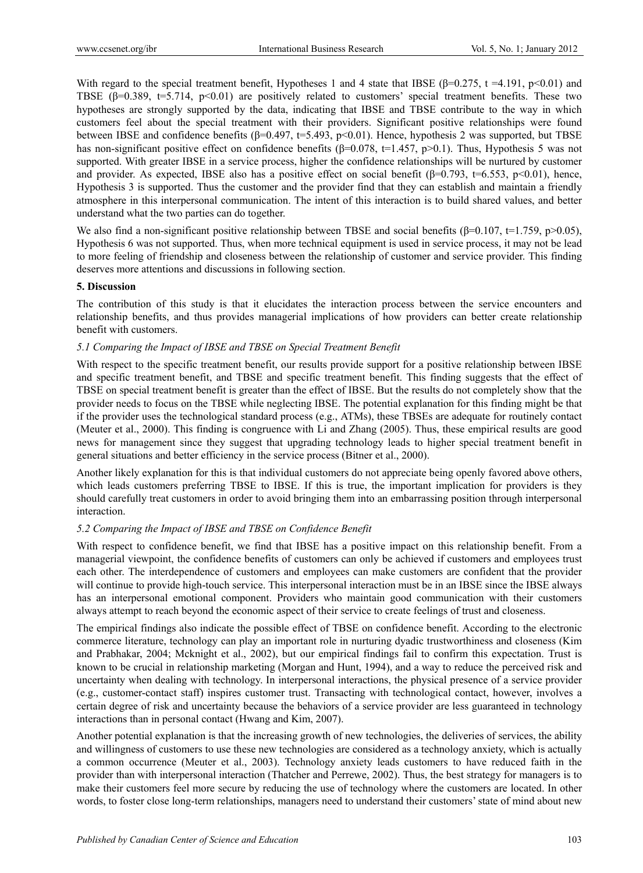With regard to the special treatment benefit, Hypotheses 1 and 4 state that IBSE ( $\beta$ =0.275, t =4.191, p<0.01) and TBSE ( $\beta$ =0.389, t=5.714, p<0.01) are positively related to customers' special treatment benefits. These two hypotheses are strongly supported by the data, indicating that IBSE and TBSE contribute to the way in which customers feel about the special treatment with their providers. Significant positive relationships were found between IBSE and confidence benefits (β=0.497, t=5.493, p<0.01). Hence, hypothesis 2 was supported, but TBSE has non-significant positive effect on confidence benefits ( $\beta$ =0.078, t=1.457, p>0.1). Thus, Hypothesis 5 was not supported. With greater IBSE in a service process, higher the confidence relationships will be nurtured by customer and provider. As expected, IBSE also has a positive effect on social benefit ( $\beta$ =0.793, t=6.553, p<0.01), hence, Hypothesis 3 is supported. Thus the customer and the provider find that they can establish and maintain a friendly atmosphere in this interpersonal communication. The intent of this interaction is to build shared values, and better understand what the two parties can do together.

We also find a non-significant positive relationship between TBSE and social benefits ( $\beta$ =0.107, t=1.759, p>0.05), Hypothesis 6 was not supported. Thus, when more technical equipment is used in service process, it may not be lead to more feeling of friendship and closeness between the relationship of customer and service provider. This finding deserves more attentions and discussions in following section.

#### **5. Discussion**

The contribution of this study is that it elucidates the interaction process between the service encounters and relationship benefits, and thus provides managerial implications of how providers can better create relationship benefit with customers.

## *5.1 Comparing the Impact of IBSE and TBSE on Special Treatment Benefit*

With respect to the specific treatment benefit, our results provide support for a positive relationship between IBSE and specific treatment benefit, and TBSE and specific treatment benefit. This finding suggests that the effect of TBSE on special treatment benefit is greater than the effect of IBSE. But the results do not completely show that the provider needs to focus on the TBSE while neglecting IBSE. The potential explanation for this finding might be that if the provider uses the technological standard process (e.g., ATMs), these TBSEs are adequate for routinely contact (Meuter et al., 2000). This finding is congruence with Li and Zhang (2005). Thus, these empirical results are good news for management since they suggest that upgrading technology leads to higher special treatment benefit in general situations and better efficiency in the service process (Bitner et al., 2000).

Another likely explanation for this is that individual customers do not appreciate being openly favored above others, which leads customers preferring TBSE to IBSE. If this is true, the important implication for providers is they should carefully treat customers in order to avoid bringing them into an embarrassing position through interpersonal interaction.

# *5.2 Comparing the Impact of IBSE and TBSE on Confidence Benefit*

With respect to confidence benefit, we find that IBSE has a positive impact on this relationship benefit. From a managerial viewpoint, the confidence benefits of customers can only be achieved if customers and employees trust each other. The interdependence of customers and employees can make customers are confident that the provider will continue to provide high-touch service. This interpersonal interaction must be in an IBSE since the IBSE always has an interpersonal emotional component. Providers who maintain good communication with their customers always attempt to reach beyond the economic aspect of their service to create feelings of trust and closeness.

The empirical findings also indicate the possible effect of TBSE on confidence benefit. According to the electronic commerce literature, technology can play an important role in nurturing dyadic trustworthiness and closeness (Kim and Prabhakar, 2004; Mcknight et al., 2002), but our empirical findings fail to confirm this expectation. Trust is known to be crucial in relationship marketing (Morgan and Hunt, 1994), and a way to reduce the perceived risk and uncertainty when dealing with technology. In interpersonal interactions, the physical presence of a service provider (e.g., customer-contact staff) inspires customer trust. Transacting with technological contact, however, involves a certain degree of risk and uncertainty because the behaviors of a service provider are less guaranteed in technology interactions than in personal contact (Hwang and Kim, 2007).

Another potential explanation is that the increasing growth of new technologies, the deliveries of services, the ability and willingness of customers to use these new technologies are considered as a technology anxiety, which is actually a common occurrence (Meuter et al., 2003). Technology anxiety leads customers to have reduced faith in the provider than with interpersonal interaction (Thatcher and Perrewe, 2002). Thus, the best strategy for managers is to make their customers feel more secure by reducing the use of technology where the customers are located. In other words, to foster close long-term relationships, managers need to understand their customers' state of mind about new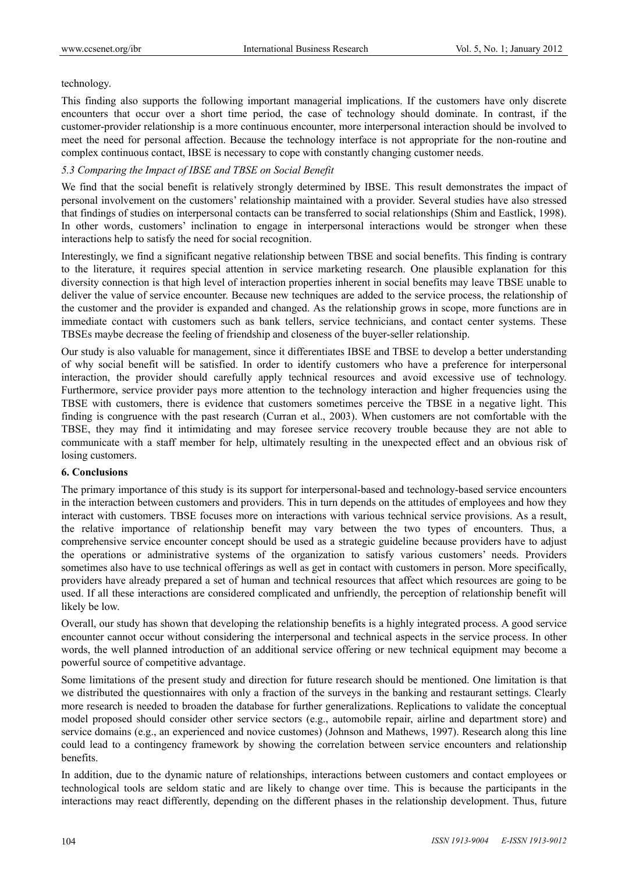#### technology.

This finding also supports the following important managerial implications. If the customers have only discrete encounters that occur over a short time period, the case of technology should dominate. In contrast, if the customer-provider relationship is a more continuous encounter, more interpersonal interaction should be involved to meet the need for personal affection. Because the technology interface is not appropriate for the non-routine and complex continuous contact, IBSE is necessary to cope with constantly changing customer needs.

### *5.3 Comparing the Impact of IBSE and TBSE on Social Benefit*

We find that the social benefit is relatively strongly determined by IBSE. This result demonstrates the impact of personal involvement on the customers' relationship maintained with a provider. Several studies have also stressed that findings of studies on interpersonal contacts can be transferred to social relationships (Shim and Eastlick, 1998). In other words, customers' inclination to engage in interpersonal interactions would be stronger when these interactions help to satisfy the need for social recognition.

Interestingly, we find a significant negative relationship between TBSE and social benefits. This finding is contrary to the literature, it requires special attention in service marketing research. One plausible explanation for this diversity connection is that high level of interaction properties inherent in social benefits may leave TBSE unable to deliver the value of service encounter. Because new techniques are added to the service process, the relationship of the customer and the provider is expanded and changed. As the relationship grows in scope, more functions are in immediate contact with customers such as bank tellers, service technicians, and contact center systems. These TBSEs maybe decrease the feeling of friendship and closeness of the buyer-seller relationship.

Our study is also valuable for management, since it differentiates IBSE and TBSE to develop a better understanding of why social benefit will be satisfied. In order to identify customers who have a preference for interpersonal interaction, the provider should carefully apply technical resources and avoid excessive use of technology. Furthermore, service provider pays more attention to the technology interaction and higher frequencies using the TBSE with customers, there is evidence that customers sometimes perceive the TBSE in a negative light. This finding is congruence with the past research (Curran et al., 2003). When customers are not comfortable with the TBSE, they may find it intimidating and may foresee service recovery trouble because they are not able to communicate with a staff member for help, ultimately resulting in the unexpected effect and an obvious risk of losing customers.

## **6. Conclusions**

The primary importance of this study is its support for interpersonal-based and technology-based service encounters in the interaction between customers and providers. This in turn depends on the attitudes of employees and how they interact with customers. TBSE focuses more on interactions with various technical service provisions. As a result, the relative importance of relationship benefit may vary between the two types of encounters. Thus, a comprehensive service encounter concept should be used as a strategic guideline because providers have to adjust the operations or administrative systems of the organization to satisfy various customers' needs. Providers sometimes also have to use technical offerings as well as get in contact with customers in person. More specifically, providers have already prepared a set of human and technical resources that affect which resources are going to be used. If all these interactions are considered complicated and unfriendly, the perception of relationship benefit will likely be low.

Overall, our study has shown that developing the relationship benefits is a highly integrated process. A good service encounter cannot occur without considering the interpersonal and technical aspects in the service process. In other words, the well planned introduction of an additional service offering or new technical equipment may become a powerful source of competitive advantage.

Some limitations of the present study and direction for future research should be mentioned. One limitation is that we distributed the questionnaires with only a fraction of the surveys in the banking and restaurant settings. Clearly more research is needed to broaden the database for further generalizations. Replications to validate the conceptual model proposed should consider other service sectors (e.g., automobile repair, airline and department store) and service domains (e.g., an experienced and novice customes) (Johnson and Mathews, 1997). Research along this line could lead to a contingency framework by showing the correlation between service encounters and relationship benefits.

In addition, due to the dynamic nature of relationships, interactions between customers and contact employees or technological tools are seldom static and are likely to change over time. This is because the participants in the interactions may react differently, depending on the different phases in the relationship development. Thus, future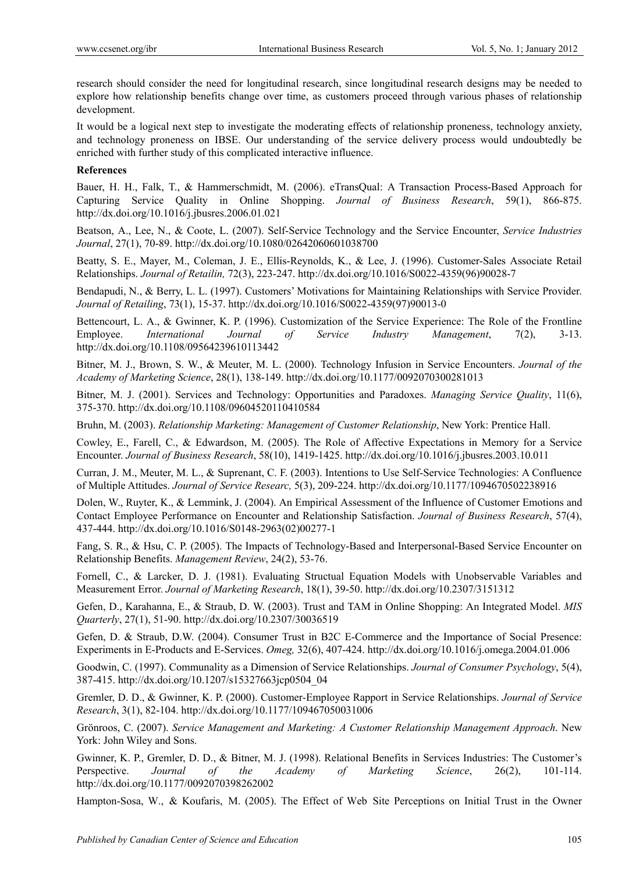research should consider the need for longitudinal research, since longitudinal research designs may be needed to explore how relationship benefits change over time, as customers proceed through various phases of relationship development.

It would be a logical next step to investigate the moderating effects of relationship proneness, technology anxiety, and technology proneness on IBSE. Our understanding of the service delivery process would undoubtedly be enriched with further study of this complicated interactive influence.

#### **References**

Bauer, H. H., Falk, T., & Hammerschmidt, M. (2006). eTransQual: A Transaction Process-Based Approach for Capturing Service Quality in Online Shopping. *Journal of Business Research*, 59(1), 866-875. http://dx.doi.org/10.1016/j.jbusres.2006.01.021

Beatson, A., Lee, N., & Coote, L. (2007). Self-Service Technology and the Service Encounter, *Service Industries Journal*, 27(1), 70-89. http://dx.doi.org/10.1080/02642060601038700

Beatty, S. E., Mayer, M., Coleman, J. E., Ellis-Reynolds, K., & Lee, J. (1996). Customer-Sales Associate Retail Relationships. *Journal of Retailin,* 72(3), 223-247. http://dx.doi.org/10.1016/S0022-4359(96)90028-7

Bendapudi, N., & Berry, L. L. (1997). Customers' Motivations for Maintaining Relationships with Service Provider. *Journal of Retailing*, 73(1), 15-37. http://dx.doi.org/10.1016/S0022-4359(97)90013-0

Bettencourt, L. A., & Gwinner, K. P. (1996). Customization of the Service Experience: The Role of the Frontline Employee. *International Journal of Service Industry Management*, 7(2), 3-13. http://dx.doi.org/10.1108/09564239610113442

Bitner, M. J., Brown, S. W., & Meuter, M. L. (2000). Technology Infusion in Service Encounters. *Journal of the Academy of Marketing Science*, 28(1), 138-149. http://dx.doi.org/10.1177/0092070300281013

Bitner, M. J. (2001). Services and Technology: Opportunities and Paradoxes. *Managing Service Quality*, 11(6), 375-370. http://dx.doi.org/10.1108/09604520110410584

Bruhn, M. (2003). *Relationship Marketing: Management of Customer Relationship*, New York: Prentice Hall.

Cowley, E., Farell, C., & Edwardson, M. (2005). The Role of Affective Expectations in Memory for a Service Encounter. *Journal of Business Research*, 58(10), 1419-1425. http://dx.doi.org/10.1016/j.jbusres.2003.10.011

Curran, J. M., Meuter, M. L., & Suprenant, C. F. (2003). Intentions to Use Self-Service Technologies: A Confluence of Multiple Attitudes. *Journal of Service Researc,* 5(3), 209-224. http://dx.doi.org/10.1177/1094670502238916

Dolen, W., Ruyter, K., & Lemmink, J. (2004). An Empirical Assessment of the Influence of Customer Emotions and Contact Employee Performance on Encounter and Relationship Satisfaction. *Journal of Business Research*, 57(4), 437-444. http://dx.doi.org/10.1016/S0148-2963(02)00277-1

Fang, S. R., & Hsu, C. P. (2005). The Impacts of Technology-Based and Interpersonal-Based Service Encounter on Relationship Benefits. *Management Review*, 24(2), 53-76.

Fornell, C., & Larcker, D. J. (1981). Evaluating Structual Equation Models with Unobservable Variables and Measurement Error. *Journal of Marketing Research*, 18(1), 39-50. http://dx.doi.org/10.2307/3151312

Gefen, D., Karahanna, E., & Straub, D. W. (2003). Trust and TAM in Online Shopping: An Integrated Model. *MIS Quarterly*, 27(1), 51-90. http://dx.doi.org/10.2307/30036519

Gefen, D. & Straub, D.W. (2004). Consumer Trust in B2C E-Commerce and the Importance of Social Presence: Experiments in E-Products and E-Services. *Omeg,* 32(6), 407-424. http://dx.doi.org/10.1016/j.omega.2004.01.006

Goodwin, C. (1997). Communality as a Dimension of Service Relationships. *Journal of Consumer Psychology*, 5(4), 387-415. http://dx.doi.org/10.1207/s15327663jcp0504\_04

Gremler, D. D., & Gwinner, K. P. (2000). Customer-Employee Rapport in Service Relationships. *Journal of Service Research*, 3(1), 82-104. http://dx.doi.org/10.1177/109467050031006

Grönroos, C. (2007). *Service Management and Marketing: A Customer Relationship Management Approach*. New York: John Wiley and Sons.

Gwinner, K. P., Gremler, D. D., & Bitner, M. J. (1998). Relational Benefits in Services Industries: The Customer's Perspective. *Journal of the Academy of Marketing Science*, 26(2), 101-114. http://dx.doi.org/10.1177/0092070398262002

Hampton-Sosa, W., & Koufaris, M. (2005). The Effect of Web Site Perceptions on Initial Trust in the Owner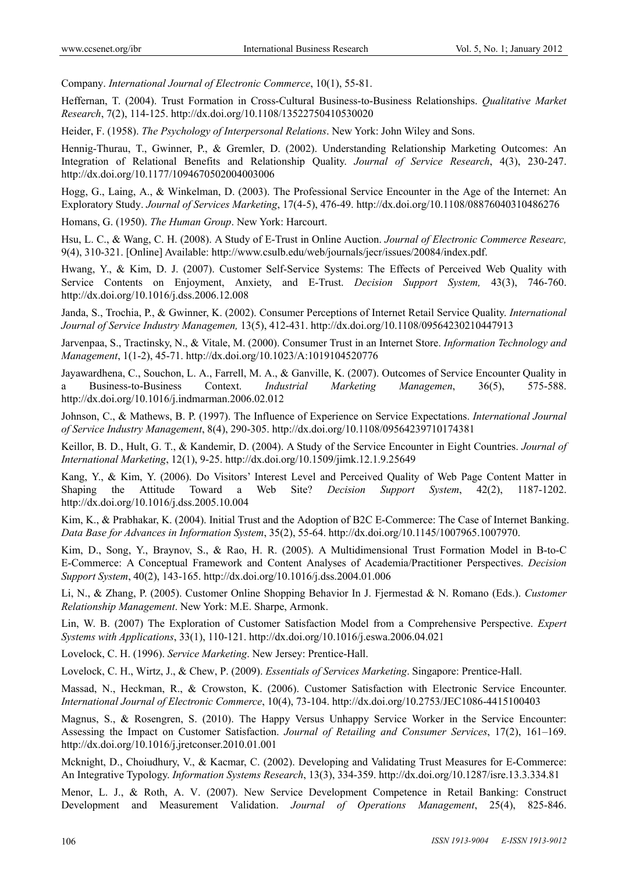Company. *International Journal of Electronic Commerce*, 10(1), 55-81.

Heffernan, T. (2004). Trust Formation in Cross-Cultural Business-to-Business Relationships. *Qualitative Market Research*, 7(2), 114-125. http://dx.doi.org/10.1108/13522750410530020

Heider, F. (1958). *The Psychology of Interpersonal Relations*. New York: John Wiley and Sons.

Hennig-Thurau, T., Gwinner, P., & Gremler, D. (2002). Understanding Relationship Marketing Outcomes: An Integration of Relational Benefits and Relationship Quality. *Journal of Service Research*, 4(3), 230-247. http://dx.doi.org/10.1177/1094670502004003006

Hogg, G., Laing, A., & Winkelman, D. (2003). The Professional Service Encounter in the Age of the Internet: An Exploratory Study. *Journal of Services Marketing*, 17(4-5), 476-49. http://dx.doi.org/10.1108/08876040310486276

Homans, G. (1950). *The Human Group*. New York: Harcourt.

Hsu, L. C., & Wang, C. H. (2008). A Study of E-Trust in Online Auction. *Journal of Electronic Commerce Researc,* 9(4), 310-321. [Online] Available: http://www.csulb.edu/web/journals/jecr/issues/20084/index.pdf.

Hwang, Y., & Kim, D. J. (2007). Customer Self-Service Systems: The Effects of Perceived Web Quality with Service Contents on Enjoyment, Anxiety, and E-Trust. *Decision Support System,* 43(3), 746-760. http://dx.doi.org/10.1016/j.dss.2006.12.008

Janda, S., Trochia, P., & Gwinner, K. (2002). Consumer Perceptions of Internet Retail Service Quality. *International Journal of Service Industry Managemen,* 13(5), 412-431. http://dx.doi.org/10.1108/09564230210447913

Jarvenpaa, S., Tractinsky, N., & Vitale, M. (2000). Consumer Trust in an Internet Store. *Information Technology and Management*, 1(1-2), 45-71. http://dx.doi.org/10.1023/A:1019104520776

Jayawardhena, C., Souchon, L. A., Farrell, M. A., & Ganville, K. (2007). Outcomes of Service Encounter Quality in a Business-to-Business Context. *Industrial Marketing Managemen*, 36(5), 575-588. http://dx.doi.org/10.1016/j.indmarman.2006.02.012

Johnson, C., & Mathews, B. P. (1997). The Influence of Experience on Service Expectations. *International Journal of Service Industry Management*, 8(4), 290-305. http://dx.doi.org/10.1108/09564239710174381

Keillor, B. D., Hult, G. T., & Kandemir, D. (2004). A Study of the Service Encounter in Eight Countries. *Journal of International Marketing*, 12(1), 9-25. http://dx.doi.org/10.1509/jimk.12.1.9.25649

Kang, Y., & Kim, Y. (2006). Do Visitors' Interest Level and Perceived Quality of Web Page Content Matter in Shaping the Attitude Toward a Web Site? *Decision Support System*, 42(2), 1187-1202. http://dx.doi.org/10.1016/j.dss.2005.10.004

Kim, K., & Prabhakar, K. (2004). Initial Trust and the Adoption of B2C E-Commerce: The Case of Internet Banking. *Data Base for Advances in Information System*, 35(2), 55-64. http://dx.doi.org/10.1145/1007965.1007970.

Kim, D., Song, Y., Braynov, S., & Rao, H. R. (2005). A Multidimensional Trust Formation Model in B-to-C E-Commerce: A Conceptual Framework and Content Analyses of Academia/Practitioner Perspectives. *Decision Support System*, 40(2), 143-165. http://dx.doi.org/10.1016/j.dss.2004.01.006

Li, N., & Zhang, P. (2005). Customer Online Shopping Behavior In J. Fjermestad & N. Romano (Eds.). *Customer Relationship Management*. New York: M.E. Sharpe, Armonk.

Lin, W. B. (2007) The Exploration of Customer Satisfaction Model from a Comprehensive Perspective. *Expert Systems with Applications*, 33(1), 110-121. http://dx.doi.org/10.1016/j.eswa.2006.04.021

Lovelock, C. H. (1996). *Service Marketing*. New Jersey: Prentice-Hall.

Lovelock, C. H., Wirtz, J., & Chew, P. (2009). *Essentials of Services Marketing*. Singapore: Prentice-Hall.

Massad, N., Heckman, R., & Crowston, K. (2006). Customer Satisfaction with Electronic Service Encounter. *International Journal of Electronic Commerce*, 10(4), 73-104. http://dx.doi.org/10.2753/JEC1086-4415100403

Magnus, S., & Rosengren, S. (2010). The Happy Versus Unhappy Service Worker in the Service Encounter: Assessing the Impact on Customer Satisfaction. *Journal of Retailing and Consumer Services*, 17(2), 161–169. http://dx.doi.org/10.1016/j.jretconser.2010.01.001

Mcknight, D., Choiudhury, V., & Kacmar, C. (2002). Developing and Validating Trust Measures for E-Commerce: An Integrative Typology. *Information Systems Research*, 13(3), 334-359. http://dx.doi.org/10.1287/isre.13.3.334.81

Menor, L. J., & Roth, A. V. (2007). New Service Development Competence in Retail Banking: Construct Development and Measurement Validation. *Journal of Operations Management*, 25(4), 825-846.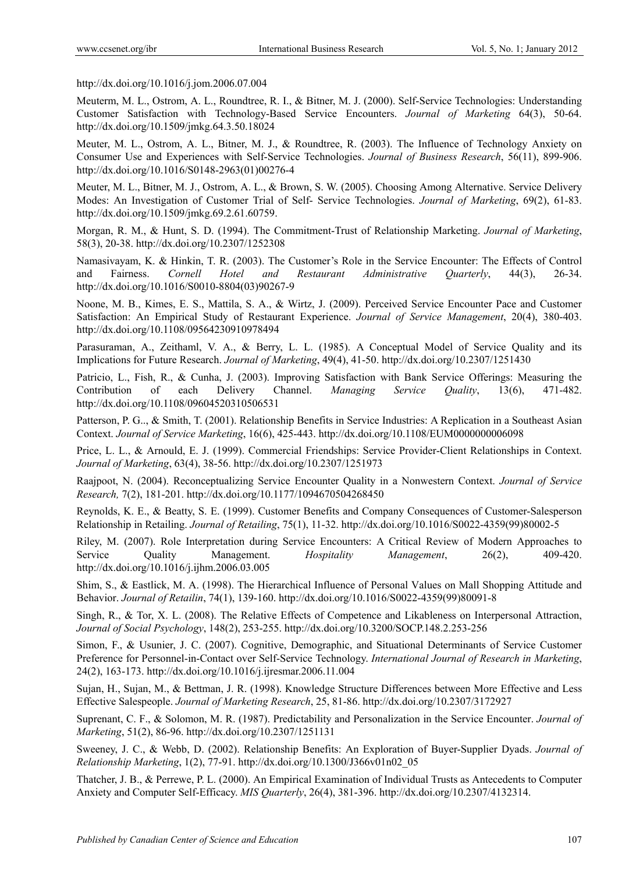http://dx.doi.org/10.1016/j.jom.2006.07.004

Meuterm, M. L., Ostrom, A. L., Roundtree, R. I., & Bitner, M. J. (2000). Self-Service Technologies: Understanding Customer Satisfaction with Technology-Based Service Encounters. *Journal of Marketing* 64(3), 50-64. http://dx.doi.org/10.1509/jmkg.64.3.50.18024

Meuter, M. L., Ostrom, A. L., Bitner, M. J., & Roundtree, R. (2003). The Influence of Technology Anxiety on Consumer Use and Experiences with Self-Service Technologies. *Journal of Business Research*, 56(11), 899-906. http://dx.doi.org/10.1016/S0148-2963(01)00276-4

Meuter, M. L., Bitner, M. J., Ostrom, A. L., & Brown, S. W. (2005). Choosing Among Alternative. Service Delivery Modes: An Investigation of Customer Trial of Self- Service Technologies. *Journal of Marketing*, 69(2), 61-83. http://dx.doi.org/10.1509/jmkg.69.2.61.60759.

Morgan, R. M., & Hunt, S. D. (1994). The Commitment-Trust of Relationship Marketing. *Journal of Marketing*, 58(3), 20-38. http://dx.doi.org/10.2307/1252308

Namasivayam, K. & Hinkin, T. R. (2003). The Customer's Role in the Service Encounter: The Effects of Control and Fairness. *Cornell Hotel and Restaurant Administrative Quarterly*, 44(3), 26-34. http://dx.doi.org/10.1016/S0010-8804(03)90267-9

Noone, M. B., Kimes, E. S., Mattila, S. A., & Wirtz, J. (2009). Perceived Service Encounter Pace and Customer Satisfaction: An Empirical Study of Restaurant Experience. *Journal of Service Management*, 20(4), 380-403. http://dx.doi.org/10.1108/09564230910978494

Parasuraman, A., Zeithaml, V. A., & Berry, L. L. (1985). A Conceptual Model of Service Quality and its Implications for Future Research. *Journal of Marketing*, 49(4), 41-50. http://dx.doi.org/10.2307/1251430

Patricio, L., Fish, R., & Cunha, J. (2003). Improving Satisfaction with Bank Service Offerings: Measuring the Contribution of each Delivery Channel. *Managing Service Quality*, 13(6), 471-482. http://dx.doi.org/10.1108/09604520310506531

Patterson, P. G.., & Smith, T. (2001). Relationship Benefits in Service Industries: A Replication in a Southeast Asian Context. *Journal of Service Marketing*, 16(6), 425-443. http://dx.doi.org/10.1108/EUM0000000006098

Price, L. L., & Arnould, E. J. (1999). Commercial Friendships: Service Provider-Client Relationships in Context. *Journal of Marketing*, 63(4), 38-56. http://dx.doi.org/10.2307/1251973

Raajpoot, N. (2004). Reconceptualizing Service Encounter Quality in a Nonwestern Context. *Journal of Service Research,* 7(2), 181-201. http://dx.doi.org/10.1177/1094670504268450

Reynolds, K. E., & Beatty, S. E. (1999). Customer Benefits and Company Consequences of Customer-Salesperson Relationship in Retailing. *Journal of Retailing*, 75(1), 11-32. http://dx.doi.org/10.1016/S0022-4359(99)80002-5

Riley, M. (2007). Role Interpretation during Service Encounters: A Critical Review of Modern Approaches to Service Quality Management. *Hospitality Management*, 26(2), 409-420. http://dx.doi.org/10.1016/j.ijhm.2006.03.005

Shim, S., & Eastlick, M. A. (1998). The Hierarchical Influence of Personal Values on Mall Shopping Attitude and Behavior. *Journal of Retailin*, 74(1), 139-160. http://dx.doi.org/10.1016/S0022-4359(99)80091-8

Singh, R., & Tor, X. L. (2008). The Relative Effects of Competence and Likableness on Interpersonal Attraction, *Journal of Social Psychology*, 148(2), 253-255. http://dx.doi.org/10.3200/SOCP.148.2.253-256

Simon, F., & Usunier, J. C. (2007). Cognitive, Demographic, and Situational Determinants of Service Customer Preference for Personnel-in-Contact over Self-Service Technology. *International Journal of Research in Marketing*, 24(2), 163-173. http://dx.doi.org/10.1016/j.ijresmar.2006.11.004

Sujan, H., Sujan, M., & Bettman, J. R. (1998). Knowledge Structure Differences between More Effective and Less Effective Salespeople. *Journal of Marketing Research*, 25, 81-86. http://dx.doi.org/10.2307/3172927

Suprenant, C. F., & Solomon, M. R. (1987). Predictability and Personalization in the Service Encounter. *Journal of Marketing*, 51(2), 86-96. http://dx.doi.org/10.2307/1251131

Sweeney, J. C., & Webb, D. (2002). Relationship Benefits: An Exploration of Buyer-Supplier Dyads. *Journal of Relationship Marketing*, 1(2), 77-91. http://dx.doi.org/10.1300/J366v01n02\_05

Thatcher, J. B., & Perrewe, P. L. (2000). An Empirical Examination of Individual Trusts as Antecedents to Computer Anxiety and Computer Self-Efficacy. *MIS Quarterly*, 26(4), 381-396. http://dx.doi.org/10.2307/4132314.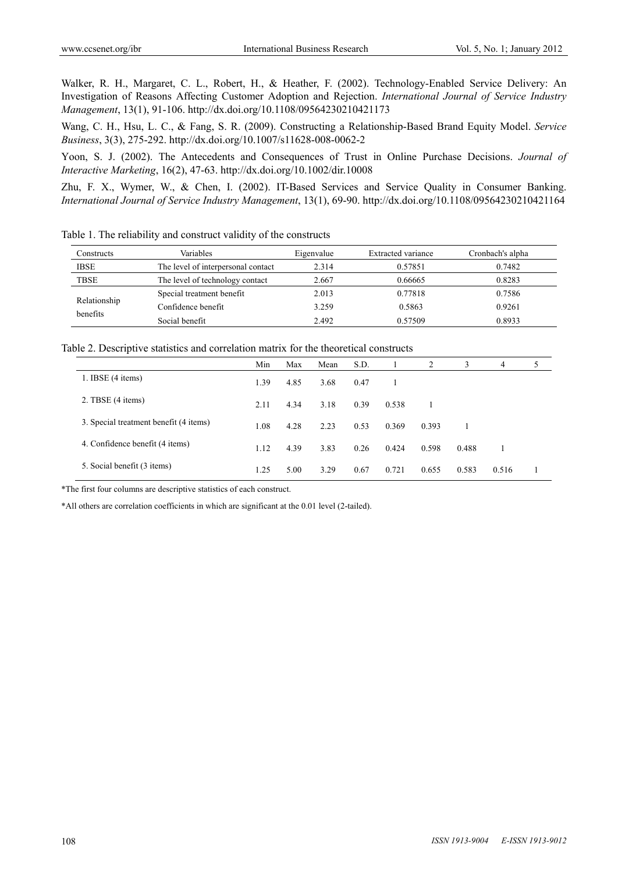Walker, R. H., Margaret, C. L., Robert, H., & Heather, F. (2002). Technology-Enabled Service Delivery: An Investigation of Reasons Affecting Customer Adoption and Rejection. *International Journal of Service Industry Management*, 13(1), 91-106. http://dx.doi.org/10.1108/09564230210421173

Wang, C. H., Hsu, L. C., & Fang, S. R. (2009). Constructing a Relationship-Based Brand Equity Model. *Service Business*, 3(3), 275-292. http://dx.doi.org/10.1007/s11628-008-0062-2

Yoon, S. J. (2002). The Antecedents and Consequences of Trust in Online Purchase Decisions. *Journal of Interactive Marketing*, 16(2), 47-63. http://dx.doi.org/10.1002/dir.10008

Zhu, F. X., Wymer, W., & Chen, I. (2002). IT-Based Services and Service Quality in Consumer Banking. *International Journal of Service Industry Management*, 13(1), 69-90. http://dx.doi.org/10.1108/09564230210421164

| Constructs               | Variables                          | Eigenvalue | Extracted variance | Cronbach's alpha |
|--------------------------|------------------------------------|------------|--------------------|------------------|
| <b>IBSE</b>              | The level of interpersonal contact | 2.314      | 0.57851            | 0.7482           |
| <b>TBSE</b>              | The level of technology contact    | 2.667      | 0.66665            | 0.8283           |
|                          | Special treatment benefit          | 2.013      | 0.77818            | 0.7586           |
| Relationship<br>benefits | Confidence benefit                 | 3.259      | 0.5863             | 0.9261           |
|                          | Social benefit                     | 2.492      | 0.57509            | 0.8933           |

Table 1. The reliability and construct validity of the constructs

Table 2. Descriptive statistics and correlation matrix for the theoretical constructs

|                                        | Min  | Max  | Mean | S.D. |       | 2     | 3     | 4     | 5 |
|----------------------------------------|------|------|------|------|-------|-------|-------|-------|---|
| 1. IBSE $(4 \text{ items})$            | 1.39 | 4.85 | 3.68 | 0.47 |       |       |       |       |   |
| 2. TBSE (4 items)                      | 2.11 | 4.34 | 3.18 | 0.39 | 0.538 |       |       |       |   |
| 3. Special treatment benefit (4 items) | 1.08 | 4.28 | 2.23 | 0.53 | 0.369 | 0.393 |       |       |   |
| 4. Confidence benefit (4 items)        | 1.12 | 4.39 | 3.83 | 0.26 | 0.424 | 0.598 | 0.488 |       |   |
| 5. Social benefit (3 items)            | 1.25 | 5.00 | 3.29 | 0.67 | 0.721 | 0.655 | 0.583 | 0.516 |   |

\*The first four columns are descriptive statistics of each construct.

\*All others are correlation coefficients in which are significant at the 0.01 level (2-tailed).